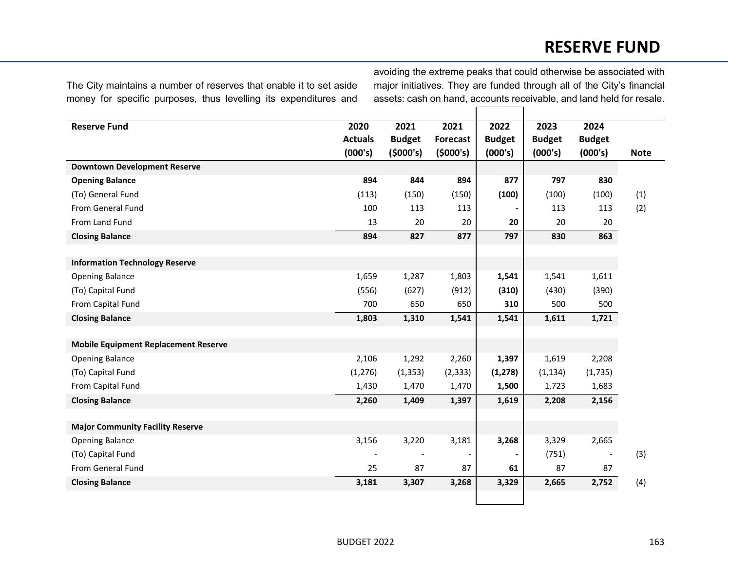## **RESERVE FUND**

The City maintains a number of reserves that enable it to set aside money for specific purposes, thus levelling its expenditures and

avoiding the extreme peaks that could otherwise be associated with major initiatives. They are funded through all of the City's financial assets: cash on hand, accounts receivable, and land held for resale.

| <b>Reserve Fund</b>                         | 2020           | 2021          | 2021                     | 2022           | 2023          | 2024          |             |
|---------------------------------------------|----------------|---------------|--------------------------|----------------|---------------|---------------|-------------|
|                                             | <b>Actuals</b> | <b>Budget</b> | <b>Forecast</b>          | <b>Budget</b>  | <b>Budget</b> | <b>Budget</b> |             |
|                                             | (000's)        | (5000's)      | (5000's)                 | (000's)        | (000's)       | (000's)       | <b>Note</b> |
| <b>Downtown Development Reserve</b>         |                |               |                          |                |               |               |             |
| <b>Opening Balance</b>                      | 894            | 844           | 894                      | 877            | 797           | 830           |             |
| (To) General Fund                           | (113)          | (150)         | (150)                    | (100)          | (100)         | (100)         | (1)         |
| From General Fund                           | 100            | 113           | 113                      | $\blacksquare$ | 113           | 113           | (2)         |
| From Land Fund                              | 13             | 20            | 20                       | 20             | 20            | 20            |             |
| <b>Closing Balance</b>                      | 894            | 827           | 877                      | 797            | 830           | 863           |             |
|                                             |                |               |                          |                |               |               |             |
| <b>Information Technology Reserve</b>       |                |               |                          |                |               |               |             |
| <b>Opening Balance</b>                      | 1,659          | 1,287         | 1,803                    | 1,541          | 1,541         | 1,611         |             |
| (To) Capital Fund                           | (556)          | (627)         | (912)                    | (310)          | (430)         | (390)         |             |
| From Capital Fund                           | 700            | 650           | 650                      | 310            | 500           | 500           |             |
| <b>Closing Balance</b>                      | 1,803          | 1,310         | 1,541                    | 1,541          | 1,611         | 1,721         |             |
|                                             |                |               |                          |                |               |               |             |
| <b>Mobile Equipment Replacement Reserve</b> |                |               |                          |                |               |               |             |
| <b>Opening Balance</b>                      | 2,106          | 1,292         | 2,260                    | 1,397          | 1,619         | 2,208         |             |
| (To) Capital Fund                           | (1, 276)       | (1, 353)      | (2, 333)                 | (1, 278)       | (1, 134)      | (1,735)       |             |
| From Capital Fund                           | 1,430          | 1,470         | 1,470                    | 1,500          | 1,723         | 1,683         |             |
| <b>Closing Balance</b>                      | 2,260          | 1,409         | 1,397                    | 1,619          | 2,208         | 2,156         |             |
|                                             |                |               |                          |                |               |               |             |
| <b>Major Community Facility Reserve</b>     |                |               |                          |                |               |               |             |
| <b>Opening Balance</b>                      | 3,156          | 3,220         | 3,181                    | 3,268          | 3,329         | 2,665         |             |
| (To) Capital Fund                           |                |               | $\overline{\phantom{a}}$ | ۰              | (751)         |               | (3)         |
| From General Fund                           | 25             | 87            | 87                       | 61             | 87            | 87            |             |
| <b>Closing Balance</b>                      | 3,181          | 3,307         | 3,268                    | 3,329          | 2,665         | 2,752         | (4)         |
|                                             |                |               |                          |                |               |               |             |